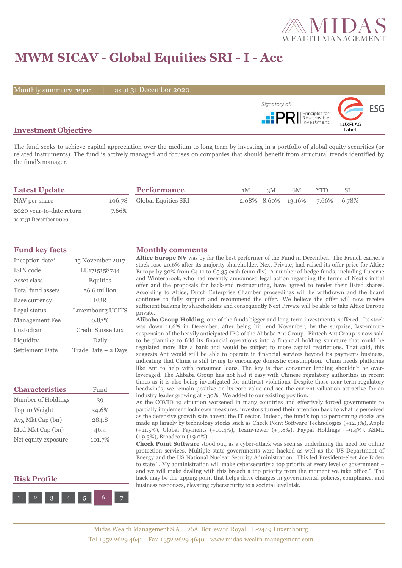

## **MWM SICAV - Global Equities SRI - I - Acc**

Monthly summary report | as at 31 December 2020



#### **Investment Objective**

The fund seeks to achieve capital appreciation over the medium to long term by investing in a portfolio of global equity securities (or related instruments). The fund is actively managed and focuses on companies that should benefit from structural trends identified by the fund's manager.

| <b>Latest Update</b>     |       | <b>Performance</b>         | 1M | 3M | 6M                             | YTD. | SI |  |
|--------------------------|-------|----------------------------|----|----|--------------------------------|------|----|--|
| NAV per share            |       | 106.78 Global Equities SRI |    |    | 2.08% 8.60% 13.16% 7.66% 6.78% |      |    |  |
| 2020 year-to-date return | 7.66% |                            |    |    |                                |      |    |  |
| as at 31 December 2020   |       |                            |    |    |                                |      |    |  |

| Inception date*        | 15 November 2017    |
|------------------------|---------------------|
| ISIN code              | LU1715158744        |
| Asset class            | Equities            |
| Total fund assets      | 56.6 million        |
| Base currency          | <b>EUR</b>          |
| Legal status           | Luxembourg UCITS    |
| <b>Management Fee</b>  | 0.83%               |
| Custodian              | Crédit Suisse Lux   |
| Liquidity              | Daily               |
| <b>Settlement Date</b> | Trade Date + 2 Days |

| <b>Characteristics</b> | Fund   |  |  |  |
|------------------------|--------|--|--|--|
| Number of Holdings     | 39     |  |  |  |
| Top 10 Weight          | 34.6%  |  |  |  |
| Avg Mkt Cap (bn)       | 284.8  |  |  |  |
| Med Mkt Cap (bn)       | 46.4   |  |  |  |
| Net equity exposure    | 101.7% |  |  |  |

#### **Risk Profile**



#### **Fund key facts Monthly comments**

**Altice Europe NV** was by far the best performer of the Fund in December. The French carrier's stock rose 20.6% after its majority shareholder, Next Private, had raised its offer price for Altice Europe by 30% from  $\mathfrak{C}_4$ .11 to  $\mathfrak{C}_5$ .35 cash (cum div). A number of hedge funds, including Lucerne and Winterbrook, who had recently announced legal action regarding the terms of Next's initial offer and the proposals for back-end restructuring, have agreed to tender their listed shares. According to Altice, Dutch Enterprise Chamber proceedings will be withdrawn and the board continues to fully support and recommend the offer. We believe the offer will now receive sufficient backing by shareholders and consequently Next Private will be able to take Altice Europe private.

**Alibaba Group Holding**, one of the funds bigger and long-term investments, suffered. Its stock was down 11,6% in December, after being hit, end November, by the surprise, last-minute suspension of the heavily anticipated IPO of the Alibaba Ant Group. Fintech Ant Group is now said to be planning to fold its financial operations into a financial holding structure that could be regulated more like a bank and would be subject to more capital restrictions. That said, this suggests Ant would still be able to operate in financial services beyond its payments business, indicating that China is still trying to encourage domestic consumption. China needs platforms like Ant to help with consumer loans. The key is that consumer lending shouldn't be overleveraged. The Alibaba Group has not had it easy with Chinese regulatory authorities in recent times as it is also being investigated for antitrust violations. Despite those near-term regulatory headwinds, we remain positive on its core value and see the current valuation attractive for an industry leader growing at ~30%. We added to our existing position.

As the COVID 19 situation worsened in many countries and effectively forced governments to partially implement lockdown measures, investors turned their attention back to what is perceived as the defensive growth safe haven: the IT sector. Indeed, the fund's top 10 performing stocks are made up largely by technology stocks such as Check Point Software Technologies (+12.9%), Apple (+11.5%), Global Payments (+10.4%), Teamviewer (+9.8%), Paypal Holdings (+9.4%), ASML (+9.3%), Broadcom (+9.0%) …

**Check Point Software** stood out, as a cyber-attack was seen as underlining the need for online protection services. Multiple state governments were hacked as well as the US Department of Energy and the US National Nuclear Security Administration. This led President-elect Joe Biden to state "..My administration will make cybersecurity a top priority at every level of government – and we will make dealing with this breach a top priority from the moment we take office." The hack may be the tipping point that helps drive changes in governmental policies, compliance, and business responses, elevating cybersecurity to a societal level risk.